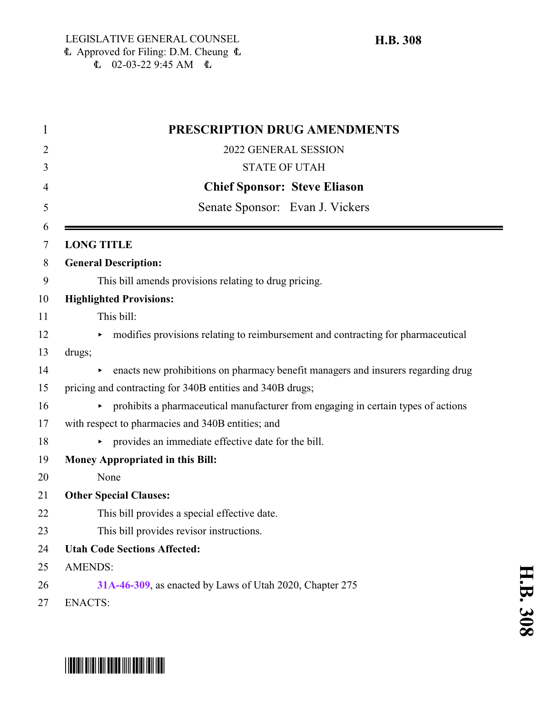| 1 | PRESCRIPTION DRUG AMENDMENTS                                                          |
|---|---------------------------------------------------------------------------------------|
|   | 2022 GENERAL SESSION                                                                  |
|   | <b>STATE OF UTAH</b>                                                                  |
|   | <b>Chief Sponsor: Steve Eliason</b>                                                   |
|   | Senate Sponsor: Evan J. Vickers                                                       |
|   | <b>LONG TITLE</b>                                                                     |
|   | <b>General Description:</b>                                                           |
|   | This bill amends provisions relating to drug pricing.                                 |
|   | <b>Highlighted Provisions:</b>                                                        |
|   | This bill:                                                                            |
|   | modifies provisions relating to reimbursement and contracting for pharmaceutical      |
|   | drugs;                                                                                |
|   | enacts new prohibitions on pharmacy benefit managers and insurers regarding drug<br>▶ |
|   | pricing and contracting for 340B entities and 340B drugs;                             |
|   | prohibits a pharmaceutical manufacturer from engaging in certain types of actions     |
|   | with respect to pharmacies and 340B entities; and                                     |
|   | provides an immediate effective date for the bill.                                    |
|   | <b>Money Appropriated in this Bill:</b>                                               |
|   | None                                                                                  |
|   | <b>Other Special Clauses:</b>                                                         |
|   | This bill provides a special effective date.                                          |
|   | This bill provides revisor instructions.                                              |
|   | <b>Utah Code Sections Affected:</b>                                                   |
|   | <b>AMENDS:</b>                                                                        |
|   | 31A-46-309, as enacted by Laws of Utah 2020, Chapter 275                              |
|   | <b>ENACTS:</b>                                                                        |

## \*HB0308\*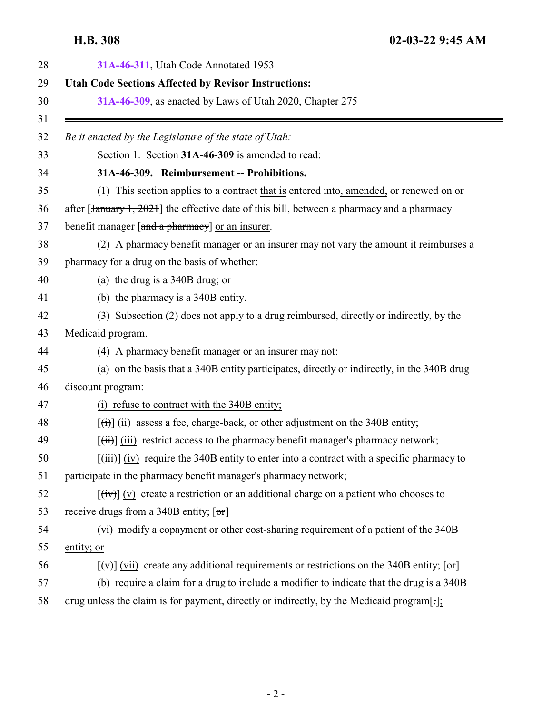<span id="page-1-0"></span>

| 31A-46-311, Utah Code Annotated 1953                                                                                |
|---------------------------------------------------------------------------------------------------------------------|
| <b>Utah Code Sections Affected by Revisor Instructions:</b>                                                         |
| 31A-46-309, as enacted by Laws of Utah 2020, Chapter 275                                                            |
| Be it enacted by the Legislature of the state of Utah:                                                              |
| Section 1. Section 31A-46-309 is amended to read:                                                                   |
| 31A-46-309. Reimbursement -- Prohibitions.                                                                          |
| (1) This section applies to a contract that is entered into, amended, or renewed on or                              |
| after [January 1, 2021] the effective date of this bill, between a pharmacy and a pharmacy                          |
| benefit manager [and a pharmacy] or an insurer.                                                                     |
| (2) A pharmacy benefit manager or an insurer may not vary the amount it reimburses a                                |
| pharmacy for a drug on the basis of whether:                                                                        |
| (a) the drug is a $340B$ drug; or                                                                                   |
| (b) the pharmacy is a 340B entity.                                                                                  |
| (3) Subsection (2) does not apply to a drug reimbursed, directly or indirectly, by the                              |
| Medicaid program.                                                                                                   |
| (4) A pharmacy benefit manager or an insurer may not:                                                               |
| (a) on the basis that a 340B entity participates, directly or indirectly, in the 340B drug                          |
| discount program:                                                                                                   |
| (i) refuse to contract with the 340B entity;                                                                        |
| $\left[\frac{f(t)}{f(t)}\right]$ (ii) assess a fee, charge-back, or other adjustment on the 340B entity;            |
| $[\overrightarrow{tii}]$ (iii) restrict access to the pharmacy benefit manager's pharmacy network;                  |
| $[\text{(iii)}]$ (iv) require the 340B entity to enter into a contract with a specific pharmacy to                  |
| participate in the pharmacy benefit manager's pharmacy network;                                                     |
| $[\overrightarrow{tv}]$ (v) create a restriction or an additional charge on a patient who chooses to                |
| receive drugs from a 340B entity; $[\sigma r]$                                                                      |
| (vi) modify a copayment or other cost-sharing requirement of a patient of the 340B                                  |
| entity; or                                                                                                          |
| $[\forall \vec{v}]$ (vii) create any additional requirements or restrictions on the 340B entity; $[\sigma \vec{r}]$ |
| (b) require a claim for a drug to include a modifier to indicate that the drug is a 340B                            |
| drug unless the claim is for payment, directly or indirectly, by the Medicaid program[-];                           |